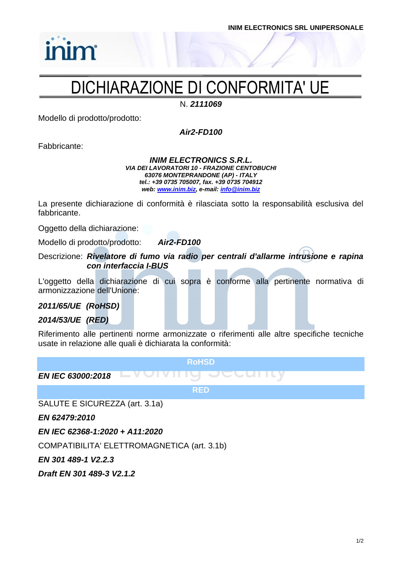### DICHIARAZIONE DI CONFORMITA' UE

N. *2111069*

Modello di prodotto/prodotto:

*Air2-FD100*

Fabbricante:

inim

### *INIM ELECTRONICS S.R.L. VIA DEI LAVORATORI 10 - FRAZIONE CENTOBUCHI 63076 MONTEPRANDONE (AP) - ITALY tel.: +39 0735 705007, fax. +39 0735 704912 web: [www.inim.biz,](http://www.inim.biz/) e-mail[: info@inim.biz](mailto:info@inim.biz)*

La presente dichiarazione di conformità è rilasciata sotto la responsabilità esclusiva del fabbricante.

Oggetto della dichiarazione:

Modello di prodotto/prodotto: *Air2-FD100*

Descrizione: *Rivelatore di fumo via radio per centrali d'allarme intrusione e rapina con interfaccia I-BUS*

L'oggetto della dichiarazione di cui sopra è conforme alla pertinente normativa di armonizzazione dell'Unione:

*2011/65/UE (RoHSD)*

*2014/53/UE (RED)*

Riferimento alle pertinenti norme armonizzate o riferimenti alle altre specifiche tecniche usate in relazione alle quali è dichiarata la conformità:

**RoHSD**

*EN IEC 63000:2018*

**RED**

SALUTE E SICUREZZA (art. 3.1a)

*EN 62479:2010*

*EN IEC 62368-1:2020 + A11:2020*

COMPATIBILITA' ELETTROMAGNETICA (art. 3.1b)

*EN 301 489-1 V2.2.3*

*Draft EN 301 489-3 V2.1.2*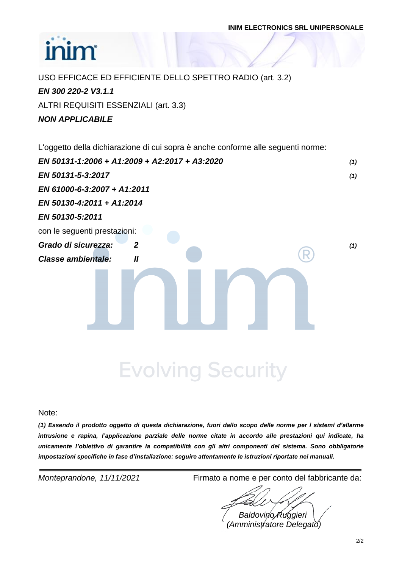# **inim**

USO EFFICACE ED EFFICIENTE DELLO SPETTRO RADIO (art. 3.2) *EN 300 220-2 V3.1.1* ALTRI REQUISITI ESSENZIALI (art. 3.3) *NON APPLICABILE*

L'oggetto della dichiarazione di cui sopra è anche conforme alle seguenti norme:

| EN 50131-5-3:2017<br>(1)<br>EN 61000-6-3:2007 + A1:2011<br>EN 50130-4:2011 + A1:2014<br>EN 50130-5:2011<br>con le seguenti prestazioni:<br>Grado di sicurezza:<br>$\mathbf{2}$<br>(1)<br><b>Classe ambientale:</b><br>$\mathbf{I}$ | EN 50131-1:2006 + A1:2009 + A2:2017 + A3:2020 | (1) |
|------------------------------------------------------------------------------------------------------------------------------------------------------------------------------------------------------------------------------------|-----------------------------------------------|-----|
|                                                                                                                                                                                                                                    |                                               |     |
|                                                                                                                                                                                                                                    |                                               |     |
|                                                                                                                                                                                                                                    |                                               |     |
|                                                                                                                                                                                                                                    |                                               |     |
|                                                                                                                                                                                                                                    |                                               |     |
|                                                                                                                                                                                                                                    |                                               |     |
|                                                                                                                                                                                                                                    |                                               |     |
|                                                                                                                                                                                                                                    |                                               |     |

**Evolving Security** 

Note:

*(1) Essendo il prodotto oggetto di questa dichiarazione, fuori dallo scopo delle norme per i sistemi d'allarme intrusione e rapina, l'applicazione parziale delle norme citate in accordo alle prestazioni qui indicate, ha unicamente l'obiettivo di garantire la compatibilità con gli altri componenti del sistema. Sono obbligatorie impostazioni specifiche in fase d'installazione: seguire attentamente le istruzioni riportate nei manuali.*

*Monteprandone, 11/11/2021* Firmato a nome e per conto del fabbricante da:

*Baldovino Ruggieri (Amministratore Delegato)*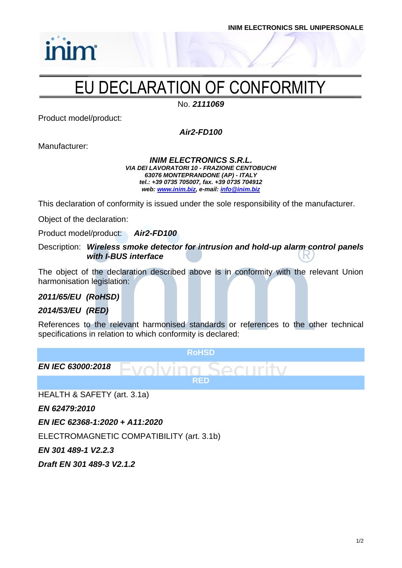

## EU DECLARATION OF CONFORMITY

No. *2111069*

Product model/product:

inim

*Air2-FD100*

Manufacturer:

### *INIM ELECTRONICS S.R.L. VIA DEI LAVORATORI 10 - FRAZIONE CENTOBUCHI 63076 MONTEPRANDONE (AP) - ITALY tel.: +39 0735 705007, fax. +39 0735 704912 web: [www.inim.biz,](http://www.inim.biz/) e-mail[: info@inim.biz](mailto:info@inim.biz)*

This declaration of conformity is issued under the sole responsibility of the manufacturer.

Object of the declaration:

Product model/product: *Air2-FD100*

Description: *Wireless smoke detector for intrusion and hold-up alarm control panels with I-BUS interface*

The object of the declaration described above is in conformity with the relevant Union harmonisation legislation:

*2011/65/EU (RoHSD)*

*2014/53/EU (RED)*

References to the relevant harmonised standards or references to the other technical specifications in relation to which conformity is declared:



HEALTH & SAFETY (art. 3.1a)

*EN 62479:2010*

*EN IEC 62368-1:2020 + A11:2020*

ELECTROMAGNETIC COMPATIBILITY (art. 3.1b)

*EN 301 489-1 V2.2.3*

*Draft EN 301 489-3 V2.1.2*